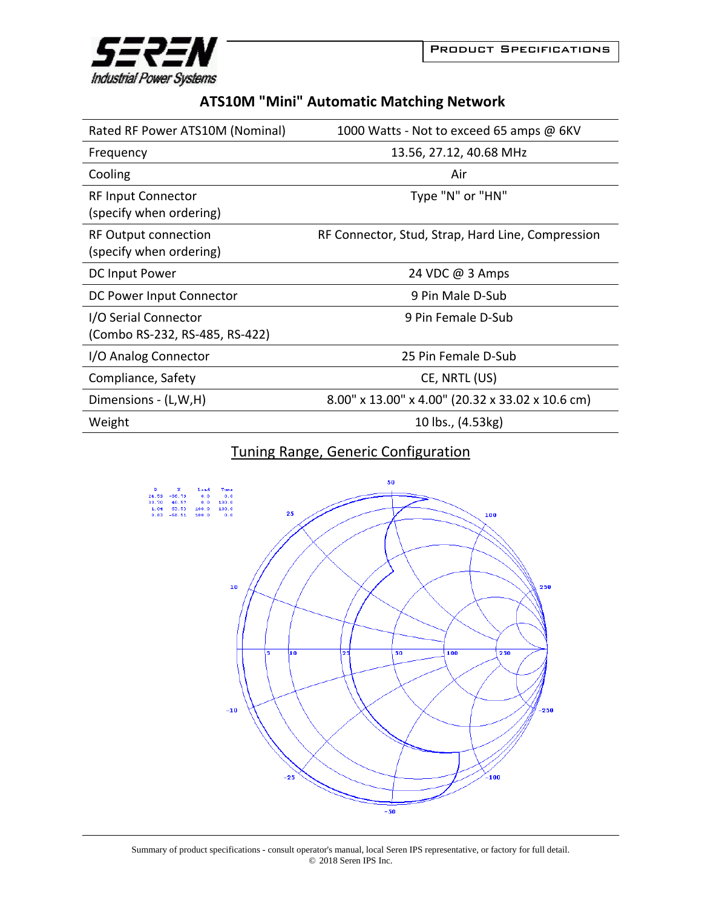

**Industrial Power Systems** 

## **ATS10M "Mini" Automatic Matching Network**

| Rated RF Power ATS10M (Nominal)                        | 1000 Watts - Not to exceed 65 amps @ 6KV          |
|--------------------------------------------------------|---------------------------------------------------|
| Frequency                                              | 13.56, 27.12, 40.68 MHz                           |
| Cooling                                                | Air                                               |
| <b>RF Input Connector</b><br>(specify when ordering)   | Type "N" or "HN"                                  |
| <b>RF Output connection</b><br>(specify when ordering) | RF Connector, Stud, Strap, Hard Line, Compression |
| DC Input Power                                         | 24 VDC @ 3 Amps                                   |
| DC Power Input Connector                               | 9 Pin Male D-Sub                                  |
| I/O Serial Connector<br>(Combo RS-232, RS-485, RS-422) | 9 Pin Female D-Sub                                |
| I/O Analog Connector                                   | 25 Pin Female D-Sub                               |
| Compliance, Safety                                     | CE, NRTL (US)                                     |
| Dimensions - (L,W,H)                                   | 8.00" x 13.00" x 4.00" (20.32 x 33.02 x 10.6 cm)  |
| Weight                                                 | 10 lbs., (4.53kg)                                 |

## Tuning Range, Generic Configuration